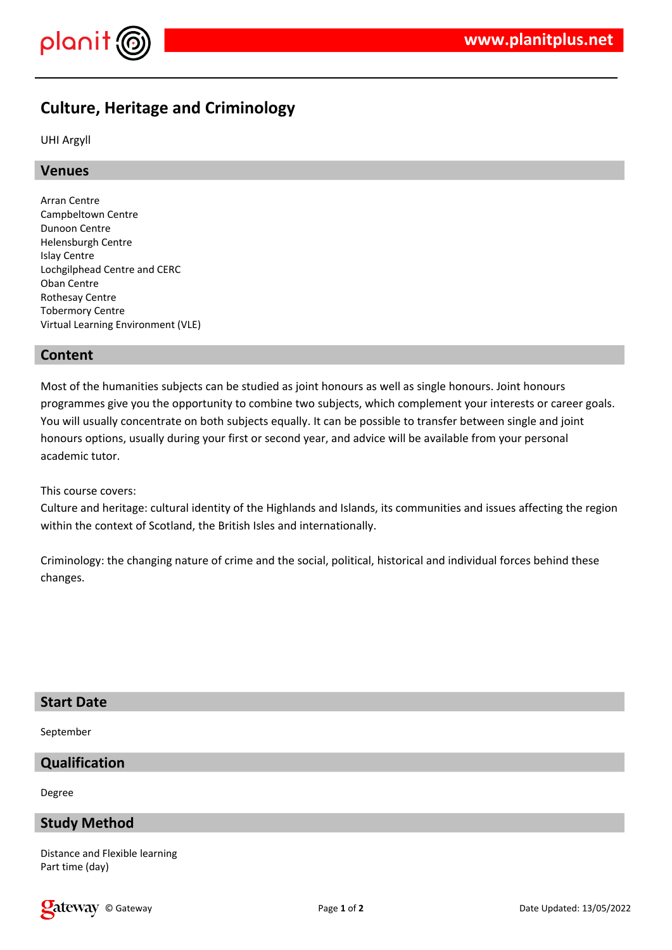

# **Culture, Heritage and Criminology**

UHI Argyll

# **Venues**

Arran Centre Campbeltown Centre Dunoon Centre Helensburgh Centre Islay Centre Lochgilphead Centre and CERC Oban Centre Rothesay Centre Tobermory Centre Virtual Learning Environment (VLE)

# **Content**

Most of the humanities subjects can be studied as joint honours as well as single honours. Joint honours programmes give you the opportunity to combine two subjects, which complement your interests or career goals. You will usually concentrate on both subjects equally. It can be possible to transfer between single and joint honours options, usually during your first or second year, and advice will be available from your personal academic tutor.

This course covers:

Culture and heritage: cultural identity of the Highlands and Islands, its communities and issues affecting the region within the context of Scotland, the British Isles and internationally.

Criminology: the changing nature of crime and the social, political, historical and individual forces behind these changes.

# **Start Date**

September

# **Qualification**

Degree

# **Study Method**

Distance and Flexible learning Part time (day)